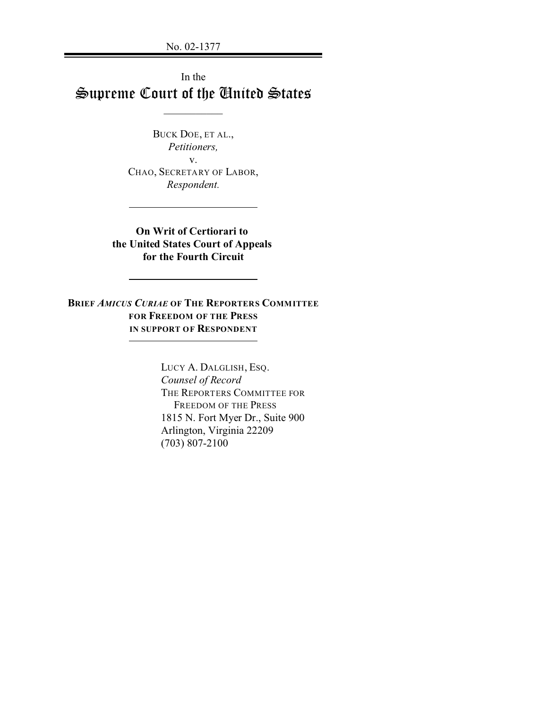No. 02-1377

# In the Supreme Court of the United States

 $\mathcal{L}$  , we have the set of  $\mathcal{L}$ 

BUCK DOE, ET AL., *Petitioners,* v. CHAO, SECRETARY OF LABOR, *Respondent.*

**On Writ of Certiorari to the United States Court of Appeals for the Fourth Circuit**

**BRIEF** *AMICUS CURIAE* **OF THE REPORTERS COMMITTEE FOR FREEDOM OF THE PRESS IN SUPPORT OF RESPONDENT**

> LUCY A. DALGLISH, ESQ. *Counsel of Record* THE REPORTERS COMMITTEE FOR FREEDOM OF THE PRESS 1815 N. Fort Myer Dr., Suite 900 Arlington, Virginia 22209 (703) 807-2100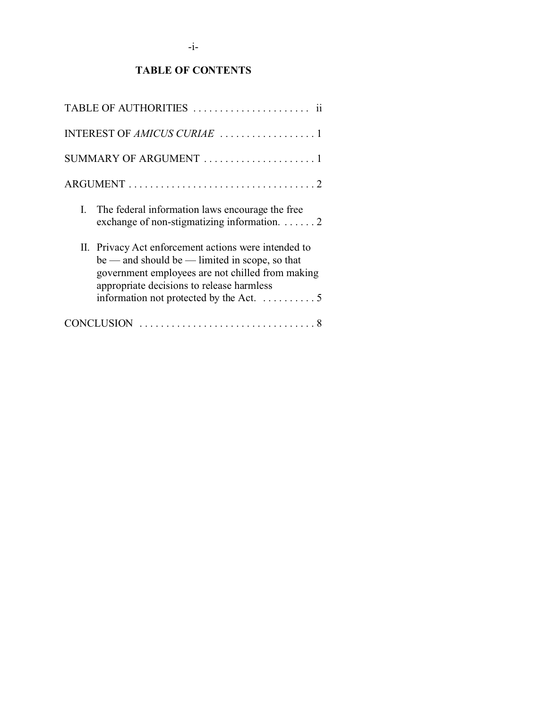# **TABLE OF CONTENTS**

| SUMMARY OF ARGUMENT 1                                                                                                                                                                                                                                                  |
|------------------------------------------------------------------------------------------------------------------------------------------------------------------------------------------------------------------------------------------------------------------------|
|                                                                                                                                                                                                                                                                        |
| I. The federal information laws encourage the free<br>exchange of non-stigmatizing information. $\dots \dots 2$                                                                                                                                                        |
| II. Privacy Act enforcement actions were intended to<br>$be$ — and should be — limited in scope, so that<br>government employees are not chilled from making<br>appropriate decisions to release harmless<br>information not protected by the Act. $\dots \dots \dots$ |
|                                                                                                                                                                                                                                                                        |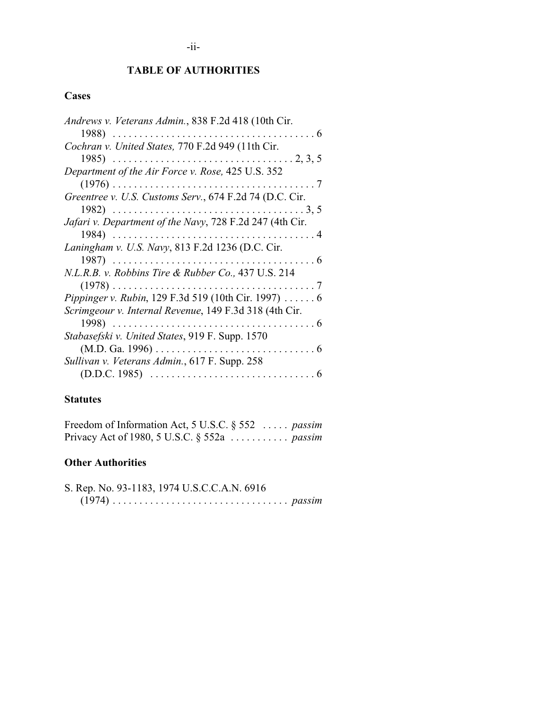# **TABLE OF AUTHORITIES**

# **Cases**

| Andrews v. Veterans Admin., 838 F.2d 418 (10th Cir.      |
|----------------------------------------------------------|
|                                                          |
| Cochran v. United States, 770 F.2d 949 (11th Cir.        |
|                                                          |
| Department of the Air Force v. Rose, 425 U.S. 352        |
|                                                          |
| Greentree v. U.S. Customs Serv., 674 F.2d 74 (D.C. Cir.  |
|                                                          |
| Jafari v. Department of the Navy, 728 F.2d 247 (4th Cir. |
|                                                          |
| Laningham v. U.S. Navy, 813 F.2d 1236 (D.C. Cir.         |
|                                                          |
| N.L.R.B. v. Robbins Tire & Rubber Co., 437 U.S. 214      |
|                                                          |
| Pippinger v. Rubin, 129 F.3d 519 (10th Cir. 1997)  6     |
| Scrimgeour v. Internal Revenue, 149 F.3d 318 (4th Cir.   |
|                                                          |
| Stabasefski v. United States, 919 F. Supp. 1570          |
|                                                          |
| Sullivan v. Veterans Admin., 617 F. Supp. 258            |
|                                                          |

# **Statutes**

Freedom of Information Act, 5 U.S.C. § 552 ..... *passim* Privacy Act of 1980, 5 U.S.C. § 552a ........... *passim*

# **Other Authorities**

| S. Rep. No. 93-1183, 1974 U.S.C.C.A.N. 6916 |  |  |  |  |  |  |  |
|---------------------------------------------|--|--|--|--|--|--|--|
|                                             |  |  |  |  |  |  |  |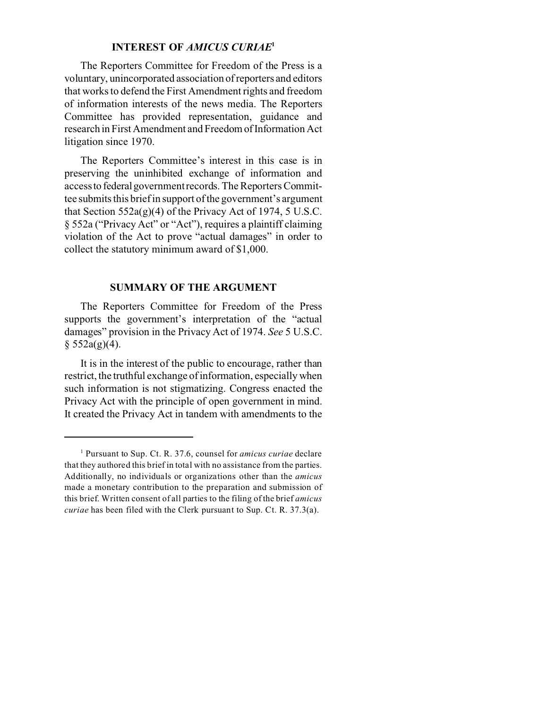### **INTEREST OF** *AMICUS CURIAE***<sup>1</sup>**

The Reporters Committee for Freedom of the Press is a voluntary, unincorporated association of reporters and editors that works to defend the First Amendment rights and freedom of information interests of the news media. The Reporters Committee has provided representation, guidance and research in First Amendment and FreedomofInformation Act litigation since 1970.

The Reporters Committee's interest in this case is in preserving the uninhibited exchange of information and accessto federalgovernment records. The Reporters Committee submits this brief in support of the government's argument that Section  $552a(g)(4)$  of the Privacy Act of 1974, 5 U.S.C. § 552a ("Privacy Act" or "Act"), requires a plaintiff claiming violation of the Act to prove "actual damages" in order to collect the statutory minimum award of \$1,000.

#### **SUMMARY OF THE ARGUMENT**

The Reporters Committee for Freedom of the Press supports the government's interpretation of the "actual damages" provision in the Privacy Act of 1974. *See* 5 U.S.C.  $§ 552a(g)(4).$ 

It is in the interest of the public to encourage, rather than restrict, the truthful exchange of information, especially when such information is not stigmatizing. Congress enacted the Privacy Act with the principle of open government in mind. It created the Privacy Act in tandem with amendments to the

<sup>1</sup> Pursuant to Sup. Ct. R. 37.6, counsel for *amicus curiae* declare that they authored this brief in total with no assistance from the parties. Additionally, no individuals or organizations other than the *amicus* made a monetary contribution to the preparation and submission of this brief. Written consent of all parties to the filing of the brief *amicus curiae* has been filed with the Clerk pursuant to Sup. Ct. R. 37.3(a).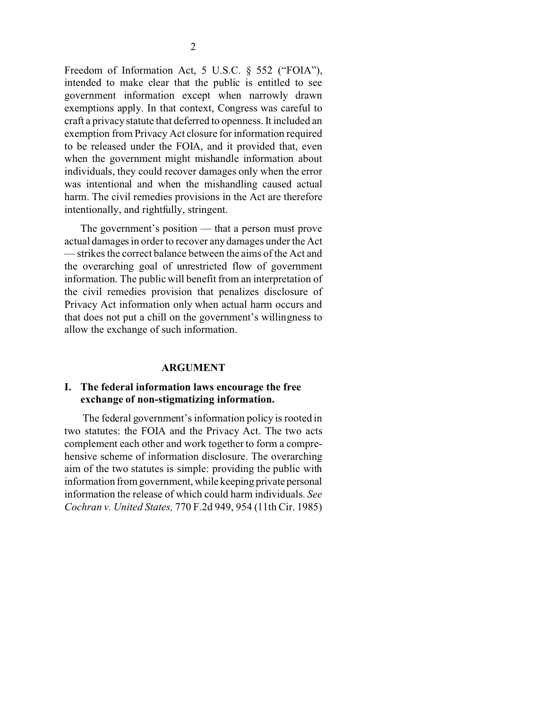Freedom of Information Act, 5 U.S.C. § 552 ("FOIA"), intended to make clear that the public is entitled to see government information except when narrowly drawn exemptions apply. In that context, Congress was careful to craft a privacy statute that deferred to openness. It included an exemption from Privacy Act closure for information required to be released under the FOIA, and it provided that, even when the government might mishandle information about individuals, they could recover damages only when the error was intentional and when the mishandling caused actual harm. The civil remedies provisions in the Act are therefore intentionally, and rightfully, stringent.

The government's position — that a person must prove actual damages in order to recover any damages under the Act — strikes the correct balance between the aims of the Act and the overarching goal of unrestricted flow of government information. The public will benefit from an interpretation of the civil remedies provision that penalizes disclosure of Privacy Act information only when actual harm occurs and that does not put a chill on the government's willingness to allow the exchange of such information.

#### **ARGUMENT**

#### **I. The federal information laws encourage the free exchange of non-stigmatizing information.**

 The federal government's information policy is rooted in two statutes: the FOIA and the Privacy Act. The two acts complement each other and work together to form a comprehensive scheme of information disclosure. The overarching aim of the two statutes is simple: providing the public with information from government, while keeping private personal information the release of which could harm individuals. *See Cochran v. United States,* 770 F.2d 949, 954 (11th Cir. 1985)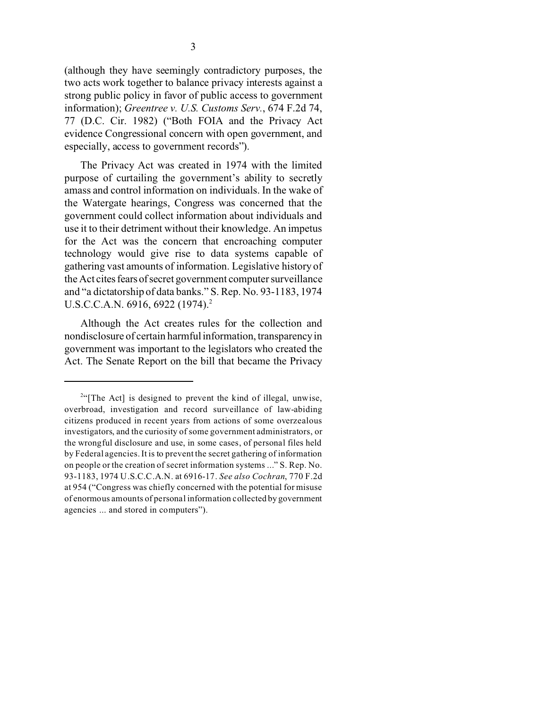(although they have seemingly contradictory purposes, the two acts work together to balance privacy interests against a strong public policy in favor of public access to government information); *Greentree v. U.S. Customs Serv.*, 674 F.2d 74, 77 (D.C. Cir. 1982) ("Both FOIA and the Privacy Act evidence Congressional concern with open government, and especially, access to government records").

The Privacy Act was created in 1974 with the limited purpose of curtailing the government's ability to secretly amass and control information on individuals. In the wake of the Watergate hearings, Congress was concerned that the government could collect information about individuals and use it to their detriment without their knowledge. An impetus for the Act was the concern that encroaching computer technology would give rise to data systems capable of gathering vast amounts of information. Legislative history of the Act cites fears of secret government computer surveillance and "a dictatorship of data banks." S. Rep. No. 93-1183, 1974 U.S.C.C.A.N. 6916, 6922 (1974).<sup>2</sup>

Although the Act creates rules for the collection and nondisclosure of certain harmful information, transparency in government was important to the legislators who created the Act. The Senate Report on the bill that became the Privacy

<sup>&</sup>lt;sup>2"</sup>[The Act] is designed to prevent the kind of illegal, unwise, overbroad, investigation and record surveillance of law-abiding citizens produced in recent years from actions of some overzealous investigators, and the curiosity of some government administrators, or the wrongful disclosure and use, in some cases, of personal files held by Federal agencies. It is to prevent the secret gathering of information on people or the creation of secret information systems ..." S. Rep. No. 93-1183, 1974 U.S.C.C.A.N. at 6916-17. *See also Cochran*, 770 F.2d at 954 ("Congress was chiefly concerned with the potential for misuse of enormous amounts of personal information collected by government agencies ... and stored in computers").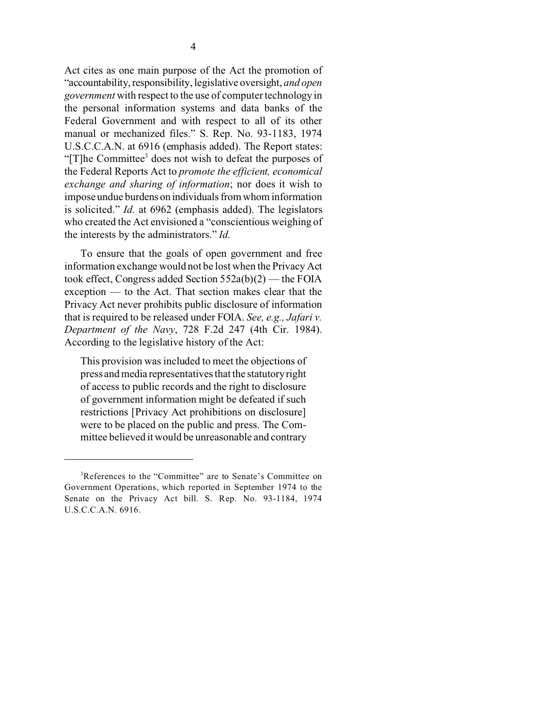Act cites as one main purpose of the Act the promotion of "accountability, responsibility, legislative oversight, and open *government* with respect to the use of computer technology in the personal information systems and data banks of the Federal Government and with respect to all of its other manual or mechanized files." S. Rep. No. 93-1183, 1974 U.S.C.C.A.N. at 6916 (emphasis added). The Report states: "[T]he Committee<sup>3</sup> does not wish to defeat the purposes of the Federal Reports Act to *promote the efficient, economical exchange and sharing of information*; nor does it wish to impose undue burdens on individuals from whom information is solicited." *Id.* at 6962 (emphasis added). The legislators who created the Act envisioned a "conscientious weighing of the interests by the administrators." *Id.*

To ensure that the goals of open government and free information exchange would not be lost when the Privacy Act took effect, Congress added Section 552a(b)(2) — the FOIA exception — to the Act. That section makes clear that the Privacy Act never prohibits public disclosure of information that is required to be released under FOIA. *See, e.g., Jafari v. Department of the Navy*, 728 F.2d 247 (4th Cir. 1984). According to the legislative history of the Act:

This provision was included to meet the objections of press and media representatives that the statutory right of access to public records and the right to disclosure of government information might be defeated if such restrictions [Privacy Act prohibitions on disclosure] were to be placed on the public and press. The Committee believed it would be unreasonable and contrary

<sup>3</sup>References to the "Committee" are to Senate's Committee on Government Operations, which reported in September 1974 to the Senate on the Privacy Act bill. S. Rep. No. 93-1184, 1974 U.S.C.C.A.N. 6916.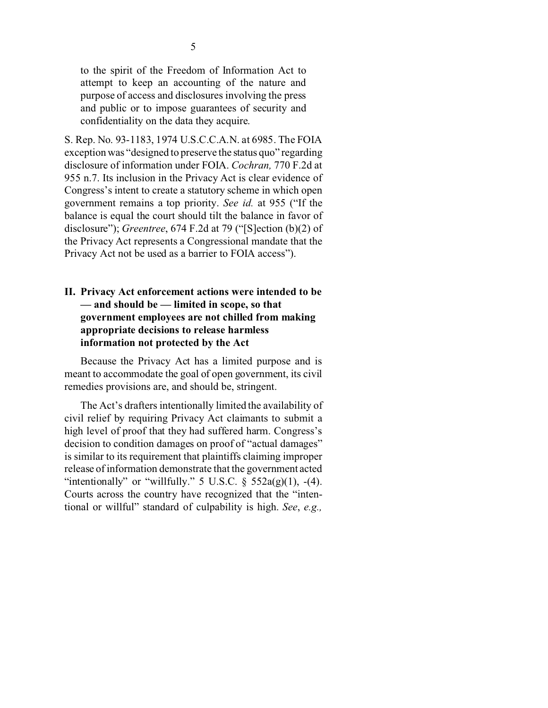to the spirit of the Freedom of Information Act to attempt to keep an accounting of the nature and purpose of access and disclosures involving the press and public or to impose guarantees of security and confidentiality on the data they acquire.

S. Rep. No. 93-1183, 1974 U.S.C.C.A.N. at 6985. The FOIA exception was "designed to preserve the status quo" regarding disclosure of information under FOIA. *Cochran,* 770 F.2d at 955 n.7. Its inclusion in the Privacy Act is clear evidence of Congress's intent to create a statutory scheme in which open government remains a top priority. *See id.* at 955 ("If the balance is equal the court should tilt the balance in favor of disclosure"); *Greentree*, 674 F.2d at 79 ("[S]ection (b)(2) of the Privacy Act represents a Congressional mandate that the Privacy Act not be used as a barrier to FOIA access").

## **II. Privacy Act enforcement actions were intended to be — and should be — limited in scope, so that government employees are not chilled from making appropriate decisions to release harmless information not protected by the Act**

Because the Privacy Act has a limited purpose and is meant to accommodate the goal of open government, its civil remedies provisions are, and should be, stringent.

The Act's drafters intentionally limited the availability of civil relief by requiring Privacy Act claimants to submit a high level of proof that they had suffered harm. Congress's decision to condition damages on proof of "actual damages" is similar to its requirement that plaintiffs claiming improper release of information demonstrate that the government acted "intentionally" or "willfully." 5 U.S.C.  $\sqrt[5]{552a(g)(1)}$ , -(4). Courts across the country have recognized that the "intentional or willful" standard of culpability is high. *See*, *e.g.,*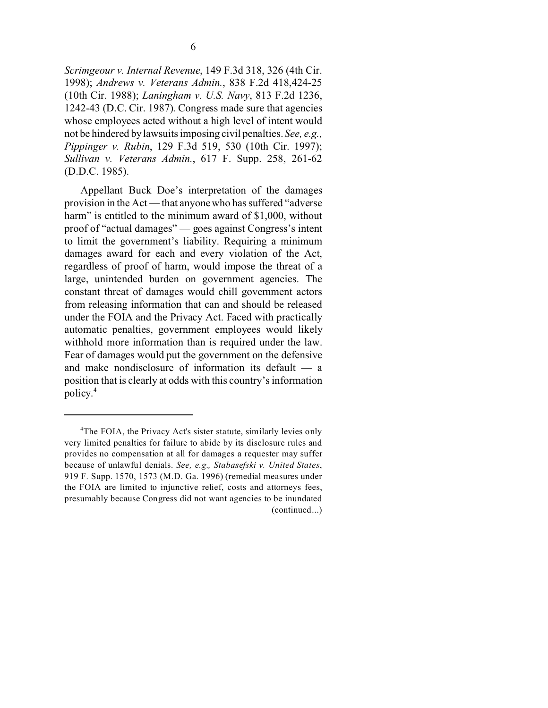*Scrimgeour v. Internal Revenue*, 149 F.3d 318, 326 (4th Cir. 1998); *Andrews v. Veterans Admin.*, 838 F.2d 418,424-25 (10th Cir. 1988); *Laningham v. U.S. Navy*, 813 F.2d 1236, 1242-43 (D.C. Cir. 1987). Congress made sure that agencies whose employees acted without a high level of intent would not be hindered by lawsuits imposing civil penalties. *See, e.g., Pippinger v. Rubin*, 129 F.3d 519, 530 (10th Cir. 1997); *Sullivan v. Veterans Admin.*, 617 F. Supp. 258, 261-62 (D.D.C. 1985).

Appellant Buck Doe's interpretation of the damages provision in the Act — that anyone who has suffered "adverse harm" is entitled to the minimum award of \$1,000, without proof of "actual damages" — goes against Congress's intent to limit the government's liability. Requiring a minimum damages award for each and every violation of the Act, regardless of proof of harm, would impose the threat of a large, unintended burden on government agencies. The constant threat of damages would chill government actors from releasing information that can and should be released under the FOIA and the Privacy Act. Faced with practically automatic penalties, government employees would likely withhold more information than is required under the law. Fear of damages would put the government on the defensive and make nondisclosure of information its default — a position that is clearly at odds with this country's information policy.4

<sup>&</sup>lt;sup>4</sup>The FOIA, the Privacy Act's sister statute, similarly levies only very limited penalties for failure to abide by its disclosure rules and provides no compensation at all for damages a requester may suffer because of unlawful denials. *See, e.g., Stabasefski v. United States*, 919 F. Supp. 1570, 1573 (M.D. Ga. 1996) (remedial measures under the FOIA are limited to injunctive relief, costs and attorneys fees, presumably because Congress did not want agencies to be inundated (continued...)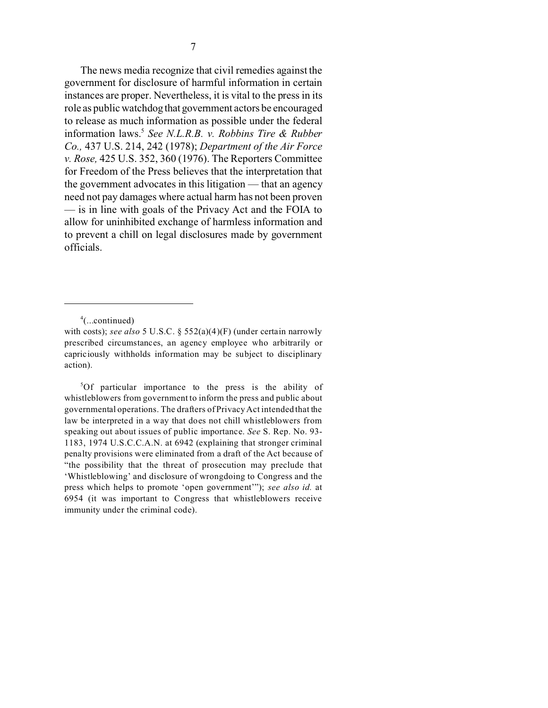The news media recognize that civil remedies against the government for disclosure of harmful information in certain instances are proper. Nevertheless, it is vital to the press in its role as public watchdog that government actors be encouraged to release as much information as possible under the federal information laws.<sup>5</sup> *See N.L.R.B. v. Robbins Tire & Rubber Co.,* 437 U.S. 214, 242 (1978); *Department of the Air Force v. Rose,* 425 U.S. 352, 360 (1976). The Reporters Committee for Freedom of the Press believes that the interpretation that the government advocates in this litigation — that an agency need not pay damages where actual harm has not been proven — is in line with goals of the Privacy Act and the FOIA to allow for uninhibited exchange of harmless information and to prevent a chill on legal disclosures made by government officials.

<sup>5</sup>Of particular importance to the press is the ability of whistleblowers from government to inform the press and public about governmental operations. The drafters of Privacy Act intended that the law be interpreted in a way that does not chill whistleblowers from speaking out about issues of public importance. *See* S. Rep. No. 93- 1183, 1974 U.S.C.C.A.N. at 6942 (explaining that stronger criminal penalty provisions were eliminated from a draft of the Act because of "the possibility that the threat of prosecution may preclude that 'Whistleblowing' and disclosure of wrongdoing to Congress and the press which helps to promote 'open government'"); *see also id.* at 6954 (it was important to Congress that whistleblowers receive immunity under the criminal code).

<sup>4</sup> (...continued)

with costs); *see also* 5 U.S.C. § 552(a)(4)(F) (under certain narrowly prescribed circumstances, an agency employee who arbitrarily or capriciously withholds information may be subject to disciplinary action).